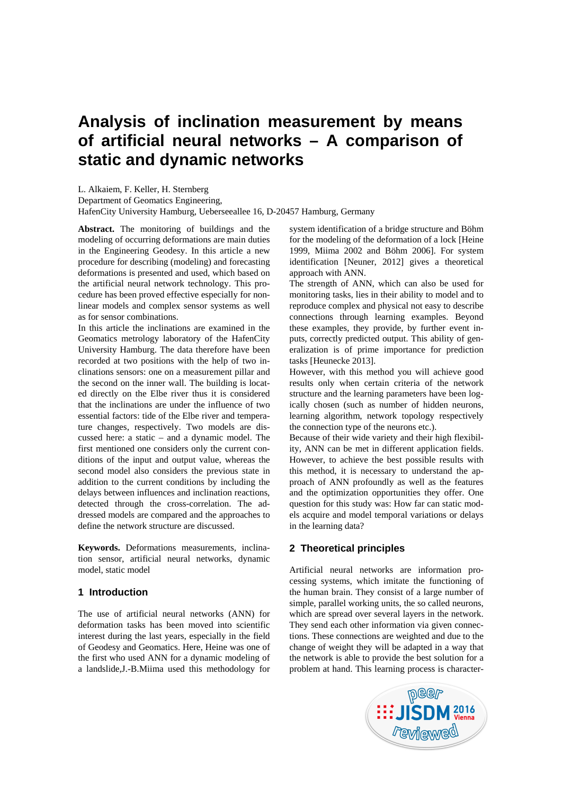# **Analysis of inclination measurement by means of artificial neural networks – A comparison of static and dynamic networks**

L. Alkaiem, F. Keller, H. Sternberg Department of Geomatics Engineering, HafenCity University Hamburg, Ueberseeallee 16, D-20457 Hamburg, Germany

**Abstract.** The monitoring of buildings and the modeling of occurring deformations are main duties in the Engineering Geodesy. In this article a new procedure for describing (modeling) and forecasting deformations is presented and used, which based on the artificial neural network technology. This procedure has been proved effective especially for nonlinear models and complex sensor systems as well as for sensor combinations.

In this article the inclinations are examined in the Geomatics metrology laboratory of the HafenCity University Hamburg. The data therefore have been recorded at two positions with the help of two inclinations sensors: one on a measurement pillar and the second on the inner wall. The building is located directly on the Elbe river thus it is considered that the inclinations are under the influence of two essential factors: tide of the Elbe river and temperature changes, respectively. Two models are discussed here: a static – and a dynamic model. The first mentioned one considers only the current conditions of the input and output value, whereas the second model also considers the previous state in addition to the current conditions by including the delays between influences and inclination reactions, detected through the cross-correlation. The addressed models are compared and the approaches to define the network structure are discussed.

**Keywords.** Deformations measurements, inclination sensor, artificial neural networks, dynamic model, static model

## **1 Introduction**

The use of artificial neural networks (ANN) for deformation tasks has been moved into scientific interest during the last years, especially in the field of Geodesy and Geomatics. Here, Heine was one of the first who used ANN for a dynamic modeling of a landslide,J.-B.Miima used this methodology for system identification of a bridge structure and Böhm for the modeling of the deformation of a lock [Heine 1999, Miima 2002 and Böhm 2006]. For system identification [Neuner, 2012] gives a theoretical approach with ANN.

The strength of ANN, which can also be used for monitoring tasks, lies in their ability to model and to reproduce complex and physical not easy to describe connections through learning examples. Beyond these examples, they provide, by further event inputs, correctly predicted output. This ability of generalization is of prime importance for prediction tasks [Heunecke 2013].

However, with this method you will achieve good results only when certain criteria of the network structure and the learning parameters have been logically chosen (such as number of hidden neurons, learning algorithm, network topology respectively the connection type of the neurons etc.).

Because of their wide variety and their high flexibility, ANN can be met in different application fields. However, to achieve the best possible results with this method, it is necessary to understand the approach of ANN profoundly as well as the features and the optimization opportunities they offer. One question for this study was: How far can static models acquire and model temporal variations or delays in the learning data?

# **2 Theoretical principles**

Artificial neural networks are information processing systems, which imitate the functioning of the human brain. They consist of a large number of simple, parallel working units, the so called neurons, which are spread over several layers in the network. They send each other information via given connections. These connections are weighted and due to the change of weight they will be adapted in a way that the network is able to provide the best solution for a problem at hand. This learning process is character-

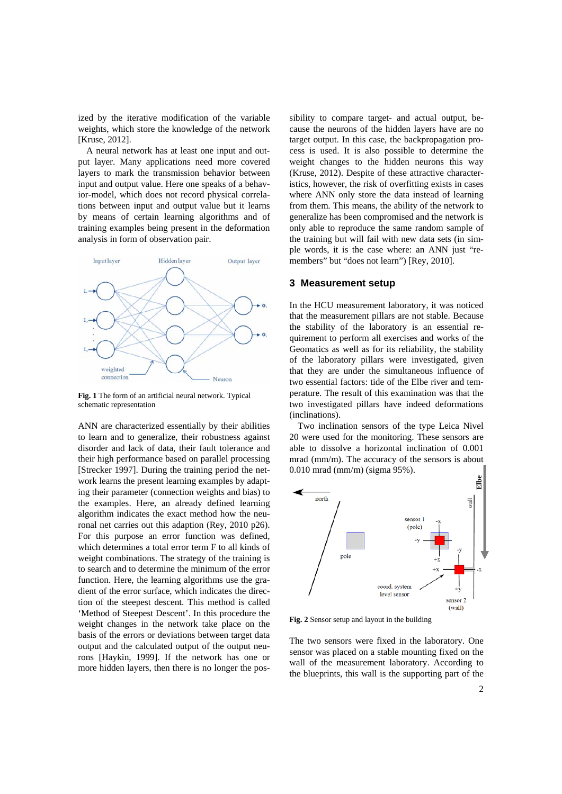ized by the iterative modification of the variable weights, which store the knowledge of the network [Kruse, 2012].

A neural network has at least one input and output layer. Many applications need more covered layers to mark the transmission behavior between input and output value. Here one speaks of a behavior-model, which does not record physical correlations between input and output value but it learns by means of certain learning algorithms and of training examples being present in the deformation analysis in form of observation pair.



**Fig. 1** The form of an artificial neural network. Typical schematic representation

ANN are characterized essentially by their abilities to learn and to generalize, their robustness against disorder and lack of data, their fault tolerance and their high performance based on parallel processing [Strecker 1997]. During the training period the network learns the present learning examples by adapting their parameter (connection weights and bias) to the examples. Here, an already defined learning algorithm indicates the exact method how the neuronal net carries out this adaption (Rey, 2010 p26). For this purpose an error function was defined, which determines a total error term F to all kinds of weight combinations. The strategy of the training is to search and to determine the minimum of the error function. Here, the learning algorithms use the gradient of the error surface, which indicates the direction of the steepest descent. This method is called 'Method of Steepest Descent'. In this procedure the weight changes in the network take place on the basis of the errors or deviations between target data output and the calculated output of the output neurons [Haykin, 1999]. If the network has one or more hidden layers, then there is no longer the possibility to compare target- and actual output, because the neurons of the hidden layers have are no target output. In this case, the backpropagation process is used. It is also possible to determine the weight changes to the hidden neurons this way (Kruse, 2012). Despite of these attractive characteristics, however, the risk of overfitting exists in cases where ANN only store the data instead of learning from them. This means, the ability of the network to generalize has been compromised and the network is only able to reproduce the same random sample of the training but will fail with new data sets (in simple words, it is the case where: an ANN just "remembers" but "does not learn") [Rey, 2010].

## **3 Measurement setup**

In the HCU measurement laboratory, it was noticed that the measurement pillars are not stable. Because the stability of the laboratory is an essential requirement to perform all exercises and works of the Geomatics as well as for its reliability, the stability of the laboratory pillars were investigated, given that they are under the simultaneous influence of two essential factors: tide of the Elbe river and temperature. The result of this examination was that the two investigated pillars have indeed deformations (inclinations).

Two inclination sensors of the type Leica Nivel 20 were used for the monitoring. These sensors are able to dissolve a horizontal inclination of 0.001 mrad (mm/m). The accuracy of the sensors is about 0.010 mrad (mm/m) (sigma 95%).



**Fig. 2** Sensor setup and layout in the building

The two sensors were fixed in the laboratory. One sensor was placed on a stable mounting fixed on the wall of the measurement laboratory. According to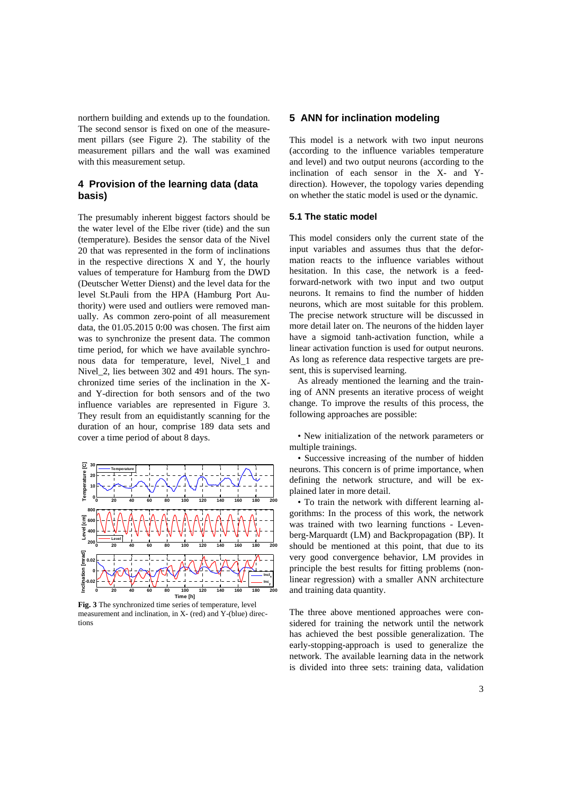northern building and extends up to the foundation. The second sensor is fixed on one of the measurement pillars (see Figure 2). The stability of the measurement pillars and the wall was examined with this measurement setup.

## **4 Provision of the learning data (data basis)**

The presumably inherent biggest factors should be the water level of the Elbe river (tide) and the sun (temperature). Besides the sensor data of the Nivel 20 that was represented in the form of inclinations in the respective directions X and Y, the hourly values of temperature for Hamburg from the DWD (Deutscher Wetter Dienst) and the level data for the level St.Pauli from the HPA (Hamburg Port Authority) were used and outliers were removed manually. As common zero-point of all measurement data, the 01.05.2015 0:00 was chosen. The first aim was to synchronize the present data. The common time period, for which we have available synchronous data for temperature, level, Nivel\_1 and Nivel\_2, lies between 302 and 491 hours. The synchronized time series of the inclination in the Xand Y-direction for both sensors and of the two influence variables are represented in Figure 3. They result from an equidistantly scanning for the duration of an hour, comprise 189 data sets and cover a time period of about 8 days.



**Fig. 3** The synchronized time series of temperature, level measurement and inclination, in X- (red) and Y-(blue) directions

## **5 ANN for inclination modeling**

This model is a network with two input neurons (according to the influence variables temperature and level) and two output neurons (according to the inclination of each sensor in the X- and Ydirection). However, the topology varies depending on whether the static model is used or the dynamic.

#### **5.1 The static model**

This model considers only the current state of the input variables and assumes thus that the deformation reacts to the influence variables without hesitation. In this case, the network is a feedforward-network with two input and two output neurons. It remains to find the number of hidden neurons, which are most suitable for this problem. The precise network structure will be discussed in more detail later on. The neurons of the hidden layer have a sigmoid tanh-activation function, while a linear activation function is used for output neurons. As long as reference data respective targets are present, this is supervised learning.

As already mentioned the learning and the training of ANN presents an iterative process of weight change. To improve the results of this process, the following approaches are possible:

• New initialization of the network parameters or multiple trainings.

• Successive increasing of the number of hidden neurons. This concern is of prime importance, when defining the network structure, and will be explained later in more detail.

• To train the network with different learning algorithms: In the process of this work, the network was trained with two learning functions - Levenberg-Marquardt (LM) and Backpropagation (BP). It should be mentioned at this point, that due to its very good convergence behavior, LM provides in principle the best results for fitting problems (nonlinear regression) with a smaller ANN architecture and training data quantity.

The three above mentioned approaches were considered for training the network until the network has achieved the best possible generalization. The early-stopping-approach is used to generalize the network. The available learning data in the network is divided into three sets: training data, validation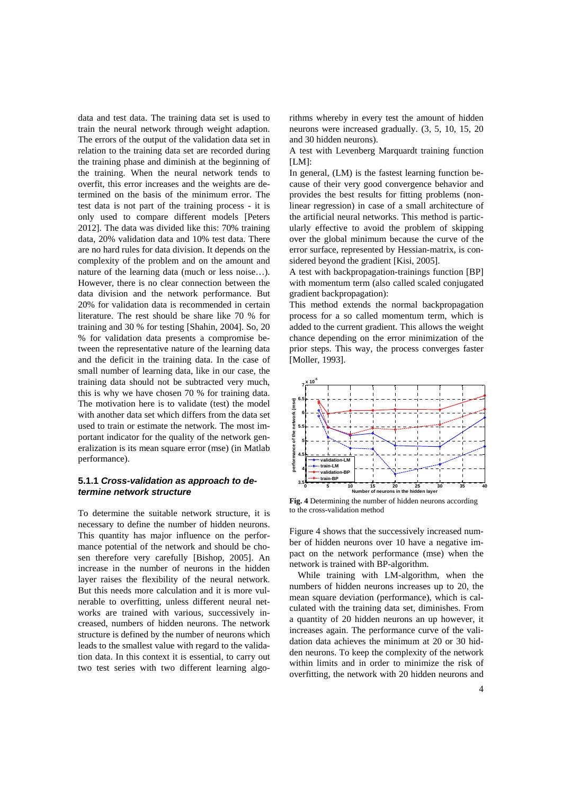data and test data. The training data set is used to train the neural network through weight adaption. The errors of the output of the validation data set in relation to the training data set are recorded during the training phase and diminish at the beginning of the training. When the neural network tends to overfit, this error increases and the weights are determined on the basis of the minimum error. The test data is not part of the training process - it is only used to compare different models [Peters 2012]. The data was divided like this: 70% training data, 20% validation data and 10% test data. There are no hard rules for data division. It depends on the complexity of the problem and on the amount and nature of the learning data (much or less noise…). However, there is no clear connection between the data division and the network performance. But 20% for validation data is recommended in certain literature. The rest should be share like 70 % for training and 30 % for testing [Shahin, 2004]. So, 20 % for validation data presents a compromise between the representative nature of the learning data and the deficit in the training data. In the case of small number of learning data, like in our case, the training data should not be subtracted very much, this is why we have chosen 70 % for training data. The motivation here is to validate (test) the model with another data set which differs from the data set used to train or estimate the network. The most important indicator for the quality of the network generalization is its mean square error (mse) (in Matlab performance).

#### **5.1.1** *Cross-validation as approach to determine network structure*

To determine the suitable network structure, it is necessary to define the number of hidden neurons. This quantity has major influence on the performance potential of the network and should be chosen therefore very carefully [Bishop, 2005]. An increase in the number of neurons in the hidden layer raises the flexibility of the neural network. But this needs more calculation and it is more vulnerable to overfitting, unless different neural networks are trained with various, successively increased, numbers of hidden neurons. The network structure is defined by the number of neurons which leads to the smallest value with regard to the validation data. In this context it is essential, to carry out two test series with two different learning algorithms whereby in every test the amount of hidden neurons were increased gradually. (3, 5, 10, 15, 20 and 30 hidden neurons).

A test with Levenberg Marquardt training function  $[LM]$ :

In general, (LM) is the fastest learning function because of their very good convergence behavior and provides the best results for fitting problems (nonlinear regression) in case of a small architecture of the artificial neural networks. This method is particularly effective to avoid the problem of skipping over the global minimum because the curve of the error surface, represented by Hessian-matrix, is considered beyond the gradient [Kisi, 2005].

A test with backpropagation-trainings function [BP] with momentum term (also called scaled conjugated gradient backpropagation):

This method extends the normal backpropagation process for a so called momentum term, which is added to the current gradient. This allows the weight chance depending on the error minimization of the prior steps. This way, the process converges faster [Moller, 1993].



**Fig. 4** Determining the number of hidden neurons according to the cross-validation method

Figure 4 shows that the successively increased number of hidden neurons over 10 have a negative impact on the network performance (mse) when the network is trained with BP-algorithm.

While training with LM-algorithm, when the numbers of hidden neurons increases up to 20, the mean square deviation (performance), which is calculated with the training data set, diminishes. From a quantity of 20 hidden neurons an up however, it increases again. The performance curve of the validation data achieves the minimum at 20 or 30 hidden neurons. To keep the complexity of the network within limits and in order to minimize the risk of overfitting, the network with 20 hidden neurons and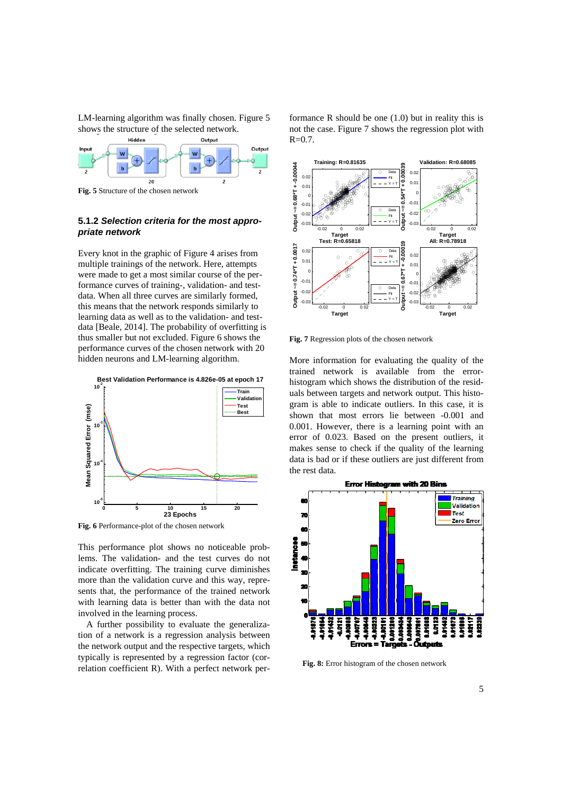LM-learning algorithm was finally chosen. Figure 5 shows the structure of the selected network.



**Fig. 5** Structure of the chosen network

## **5.1.2** *Selection criteria for the most appropriate network*

Every knot in the graphic of Figure 4 arises from multiple trainings of the network. Here, attempts were made to get a most similar course of the performance curves of training-, validation- and testdata. When all three curves are similarly formed, this means that the network responds similarly to learning data as well as to the validation- and testdata [Beale, 2014]. The probability of overfitting is thus smaller but not excluded. Figure 6 shows the performance curves of the chosen network with 20 hidden neurons and LM-learning algorithm.



**Fig. 6** Performance-plot of the chosen network

This performance plot shows no noticeable problems. The validation- and the test curves do not indicate overfitting. The training curve diminishes more than the validation curve and this way, represents that, the performance of the trained network with learning data is better than with the data not involved in the learning process.

A further possibility to evaluate the generalization of a network is a regression analysis between the network output and the respective targets, which typically is represented by a regression factor (correlation coefficient R). With a perfect network performance R should be one (1.0) but in reality this is not the case. Figure 7 shows the regression plot with  $R = 0.7$ .



**Fig. 7** Regression plots of the chosen network

More information for evaluating the quality of the trained network is available from the errorhistogram which shows the distribution of the residuals between targets and network output. This histogram is able to indicate outliers. In this case, it is shown that most errors lie between -0.001 and 0.001. However, there is a learning point with an error of 0.023. Based on the present outliers, it makes sense to check if the quality of the learning data is bad or if these outliers are just different from the rest data.



**Fig. 8:** Error histogram of the chosen network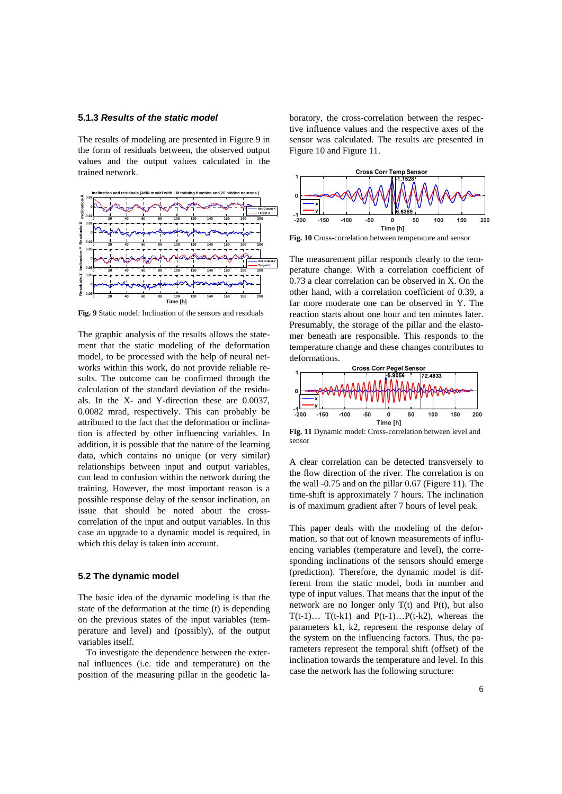## **5.1.3** *Results of the static model*

The results of modeling are presented in Figure 9 in the form of residuals between, the observed output values and the output values calculated in the trained network.



**Fig. 9** Static model: Inclination of the sensors and residuals

The graphic analysis of the results allows the statement that the static modeling of the deformation model, to be processed with the help of neural networks within this work, do not provide reliable results. The outcome can be confirmed through the calculation of the standard deviation of the residuals. In the X- and Y-direction these are 0.0037, 0.0082 mrad, respectively. This can probably be attributed to the fact that the deformation or inclination is affected by other influencing variables. In addition, it is possible that the nature of the learning data, which contains no unique (or very similar) relationships between input and output variables, can lead to confusion within the network during the training. However, the most important reason is a possible response delay of the sensor inclination, an issue that should be noted about the crosscorrelation of the input and output variables. In this case an upgrade to a dynamic model is required, in which this delay is taken into account.

#### **5.2 The dynamic model**

The basic idea of the dynamic modeling is that the state of the deformation at the time (t) is depending on the previous states of the input variables (temperature and level) and (possibly), of the output variables itself.

To investigate the dependence between the external influences (i.e. tide and temperature) on the position of the measuring pillar in the geodetic laboratory, the cross-correlation between the respective influence values and the respective axes of the sensor was calculated. The results are presented in Figure 10 and Figure 11.



**Fig. 10** Cross-correlation between temperature and sensor

The measurement pillar responds clearly to the temperature change. With a correlation coefficient of 0.73 a clear correlation can be observed in X. On the other hand, with a correlation coefficient of 0.39, a far more moderate one can be observed in Y. The reaction starts about one hour and ten minutes later. Presumably, the storage of the pillar and the elastomer beneath are responsible. This responds to the temperature change and these changes contributes to deformations.



**Fig. 11** Dynamic model: Cross-correlation between level and sensor

A clear correlation can be detected transversely to the flow direction of the river. The correlation is on the wall -0.75 and on the pillar 0.67 (Figure 11). The time-shift is approximately 7 hours. The inclination is of maximum gradient after 7 hours of level peak.

This paper deals with the modeling of the deformation, so that out of known measurements of influencing variables (temperature and level), the corresponding inclinations of the sensors should emerge (prediction). Therefore, the dynamic model is different from the static model, both in number and type of input values. That means that the input of the network are no longer only T(t) and P(t), but also  $T(t-1)... T(t-k1)$  and  $P(t-1)...P(t-k2)$ , whereas the parameters k1, k2, represent the response delay of the system on the influencing factors. Thus, the parameters represent the temporal shift (offset) of the inclination towards the temperature and level. In this case the network has the following structure: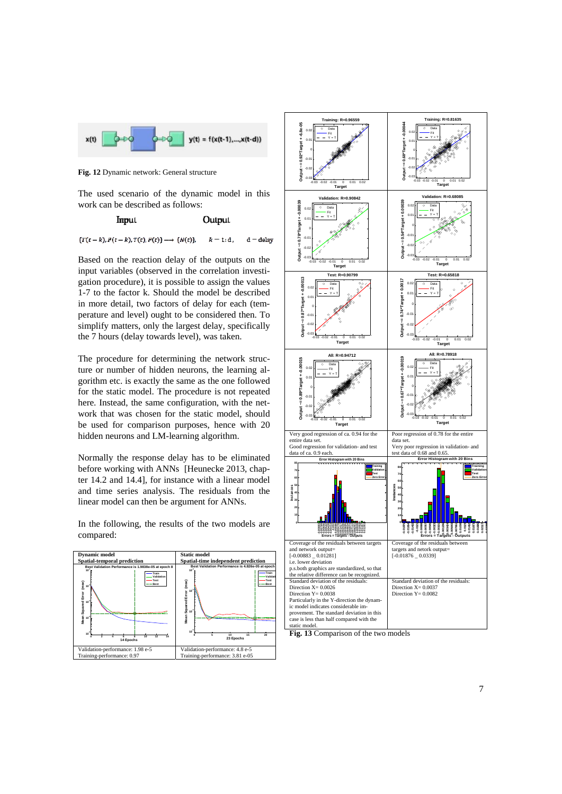

**Fig. 12** Dynamic network: General structure

The used scenario of the dynamic model in this work can be described as follows:

> **Imput** Output

 $\{T(t-k), P(t-k), T(t), P(t)\} \longrightarrow \{N(t)\},\label{eq:1}$  $k = 1$ : d  $d =$ delay

Based on the reaction delay of the outputs on the input variables (observed in the correlation investigation procedure), it is possible to assign the values 1-7 to the factor k. Should the model be described in more detail, two factors of delay for each (temperature and level) ought to be considered then. To simplify matters, only the largest delay, specifically the 7 hours (delay towards level), was taken.

The procedure for determining the network structure or number of hidden neurons, the learning algorithm etc. is exactly the same as the one followed for the static model. The procedure is not repeated here. Instead, the same configuration, with the network that was chosen for the static model, should be used for comparison purposes, hence with 20 hidden neurons and LM-learning algorithm.

Normally the response delay has to be eliminated before working with ANNs [Heunecke 2013, chapter 14.2 and 14.4], for instance with a linear model and time series analysis. The residuals from the linear model can then be argument for ANNs.

In the following, the results of the two models are compared:





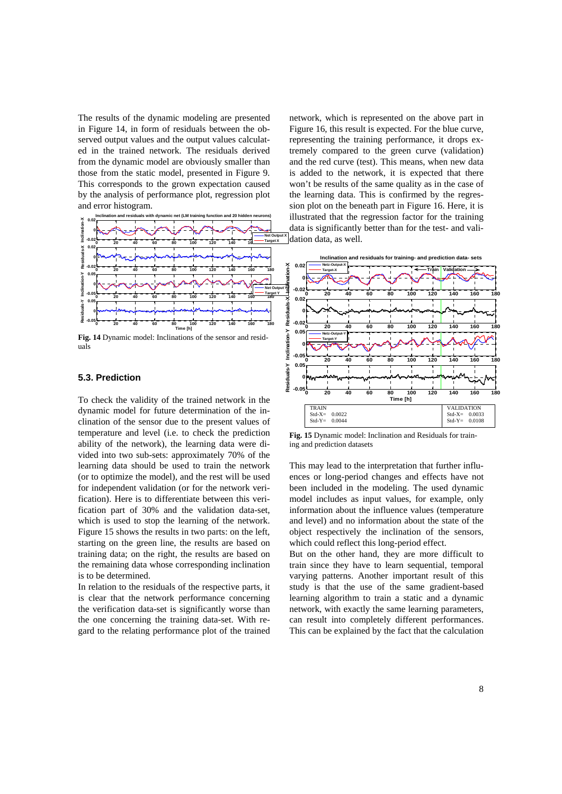The results of the dynamic modeling are presented in Figure 14, in form of residuals between the observed output values and the output values calculated in the trained network. The residuals derived from the dynamic model are obviously smaller than those from the static model, presented in Figure 9. This corresponds to the grown expectation caused by the analysis of performance plot, regression plot and error histogram.



**Fig. 14** Dynamic model: Inclinations of the sensor and residuals

## **5.3. Prediction**

To check the validity of the trained network in the dynamic model for future determination of the inclination of the sensor due to the present values of temperature and level (i.e. to check the prediction ability of the network), the learning data were divided into two sub-sets: approximately 70% of the learning data should be used to train the network (or to optimize the model), and the rest will be used for independent validation (or for the network verification). Here is to differentiate between this verification part of 30% and the validation data-set, which is used to stop the learning of the network. Figure 15 shows the results in two parts: on the left, starting on the green line, the results are based on training data; on the right, the results are based on the remaining data whose corresponding inclination is to be determined.

In relation to the residuals of the respective parts, it is clear that the network performance concerning the verification data-set is significantly worse than the one concerning the training data-set. With regard to the relating performance plot of the trained

network, which is represented on the above part in Figure 16, this result is expected. For the blue curve, representing the training performance, it drops extremely compared to the green curve (validation) and the red curve (test). This means, when new data is added to the network, it is expected that there won't be results of the same quality as in the case of the learning data. This is confirmed by the regression plot on the beneath part in Figure 16. Here, it is illustrated that the regression factor for the training data is significantly better than for the test- and validation data, as well.



**Fig. 15** Dynamic model: Inclination and Residuals for training and prediction datasets

This may lead to the interpretation that further influences or long-period changes and effects have not been included in the modeling. The used dynamic model includes as input values, for example, only information about the influence values (temperature and level) and no information about the state of the object respectively the inclination of the sensors, which could reflect this long-period effect.

But on the other hand, they are more difficult to train since they have to learn sequential, temporal varying patterns. Another important result of this study is that the use of the same gradient-based learning algorithm to train a static and a dynamic network, with exactly the same learning parameters, can result into completely different performances. This can be explained by the fact that the calculation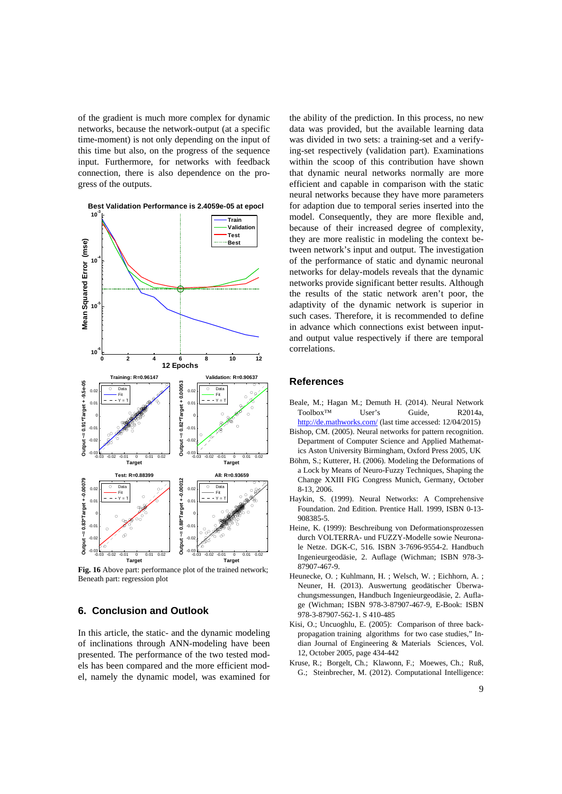of the gradient is much more complex for dynamic networks, because the network-output (at a specific time-moment) is not only depending on the input of this time but also, on the progress of the sequence input. Furthermore, for networks with feedback connection, there is also dependence on the progress of the outputs.



**Fig. 16** Above part: performance plot of the trained network; Beneath part: regression plot

## **6. Conclusion and Outlook**

In this article, the static- and the dynamic modeling of inclinations through ANN-modeling have been presented. The performance of the two tested models has been compared and the more efficient model, namely the dynamic model, was examined for

the ability of the prediction. In this process, no new data was provided, but the available learning data was divided in two sets: a training-set and a verifying-set respectively (validation part). Examinations within the scoop of this contribution have shown that dynamic neural networks normally are more efficient and capable in comparison with the static neural networks because they have more parameters for adaption due to temporal series inserted into the model. Consequently, they are more flexible and, because of their increased degree of complexity, they are more realistic in modeling the context between network's input and output. The investigation of the performance of static and dynamic neuronal networks for delay-models reveals that the dynamic networks provide significant better results. Although the results of the static network aren't poor, the adaptivity of the dynamic network is superior in such cases. Therefore, it is recommended to define in advance which connections exist between inputand output value respectively if there are temporal correlations.

## **References**

- Beale, M.; Hagan M.; Demuth H. (2014). Neural Network Toolbox™ User's Guide, R2014a, http://de.mathworks.com/ (last time accessed: 12/04/2015)
- Bishop, CM. (2005). Neural networks for pattern recognition. Department of Computer Science and Applied Mathematics Aston University Birmingham, Oxford Press 2005, UK
- Böhm, S.; Kutterer, H. (2006). Modeling the Deformations of a Lock by Means of Neuro-Fuzzy Techniques, Shaping the Change XXIII FIG Congress Munich, Germany, October 8-13, 2006.
- Haykin, S. (1999). Neural Networks: A Comprehensive Foundation. 2nd Edition. Prentice Hall. 1999, ISBN 0-13- 908385-5.
- Heine, K. (1999): Beschreibung von Deformationsprozessen durch VOLTERRA- und FUZZY-Modelle sowie Neuronale Netze. DGK-C, 516. ISBN 3-7696-9554-2. Handbuch Ingenieurgeodäsie, 2. Auflage (Wichman; ISBN 978-3- 87907-467-9.
- Heunecke, O. ; Kuhlmann, H. ; Welsch, W. ; Eichhorn, A. ; Neuner, H. (2013). Auswertung geodätischer Überwachungsmessungen, Handbuch Ingenieurgeodäsie, 2. Auflage (Wichman; ISBN 978-3-87907-467-9, E-Book: ISBN 978-3-87907-562-1. S 410-485
- Kisi, O.; Uncuoghlu, E. (2005): Comparison of three backpropagation training algorithms for two case studies," Indian Journal of Engineering & Materials Sciences, Vol. 12, October 2005, page 434-442
- Kruse, R.; Borgelt, Ch.; Klawonn, F.; Moewes, Ch.; Ruß, G.; Steinbrecher, M. (2012). Computational Intelligence: